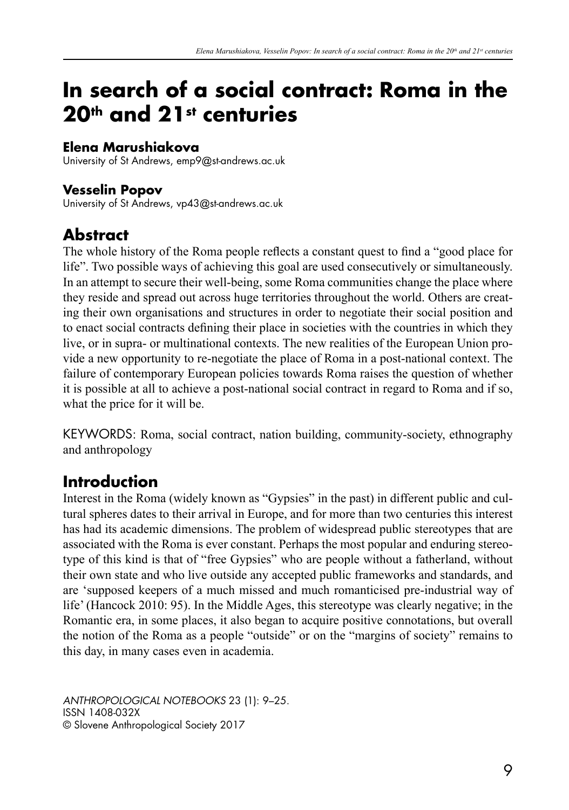# **In search of a social contract: Roma in the 20th and 21st centuries**

#### **Elena Marushiakova**

University of St Andrews, emp9@st-andrews.ac.uk

### **Vesselin Popov**

University of St Andrews, vp43@st-andrews.ac.uk

# **Abstract**

The whole history of the Roma people reflects a constant quest to find a "good place for life". Two possible ways of achieving this goal are used consecutively or simultaneously. In an attempt to secure their well-being, some Roma communities change the place where they reside and spread out across huge territories throughout the world. Others are creating their own organisations and structures in order to negotiate their social position and to enact social contracts defining their place in societies with the countries in which they live, or in supra- or multinational contexts. The new realities of the European Union provide a new opportunity to re-negotiate the place of Roma in a post-national context. The failure of contemporary European policies towards Roma raises the question of whether it is possible at all to achieve a post-national social contract in regard to Roma and if so, what the price for it will be.

KEYWORDS: Roma, social contract, nation building, community-society, ethnography and anthropology

# **Introduction**

Interest in the Roma (widely known as "Gypsies" in the past) in different public and cultural spheres dates to their arrival in Europe, and for more than two centuries this interest has had its academic dimensions. The problem of widespread public stereotypes that are associated with the Roma is ever constant. Perhaps the most popular and enduring stereotype of this kind is that of "free Gypsies" who are people without a fatherland, without their own state and who live outside any accepted public frameworks and standards, and are 'supposed keepers of a much missed and much romanticised pre-industrial way of life' (Hancock 2010: 95). In the Middle Ages, this stereotype was clearly negative; in the Romantic era, in some places, it also began to acquire positive connotations, but overall the notion of the Roma as a people "outside" or on the "margins of society" remains to this day, in many cases even in academia.

*ANTHROPOLOGICAL NOTEBOOKS* 23 (1): 9–25. ISSN 1408-032X © Slovene Anthropological Society 2017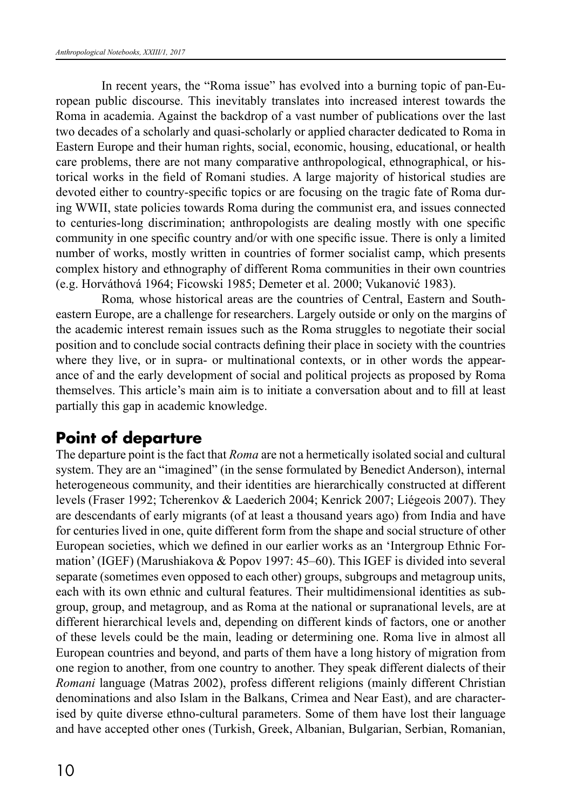In recent years, the "Roma issue" has evolved into a burning topic of pan-European public discourse. This inevitably translates into increased interest towards the Roma in academia. Against the backdrop of a vast number of publications over the last two decades of a scholarly and quasi-scholarly or applied character dedicated to Roma in Eastern Europe and their human rights, social, economic, housing, educational, or health care problems, there are not many comparative anthropological, ethnographical, or historical works in the field of Romani studies. A large majority of historical studies are devoted either to country-specific topics or are focusing on the tragic fate of Roma during WWII, state policies towards Roma during the communist era, and issues connected to centuries-long discrimination; anthropologists are dealing mostly with one specific community in one specific country and/or with one specific issue. There is only a limited number of works, mostly written in countries of former socialist camp, which presents complex history and ethnography of different Roma communities in their own countries (e.g. Horváthová 1964; Ficowski 1985; Demeter et al. 2000; Vukanović 1983).

Roma*,* whose historical areas are the countries of Central, Eastern and Southeastern Europe, are a challenge for researchers. Largely outside or only on the margins of the academic interest remain issues such as the Roma struggles to negotiate their social position and to conclude social contracts defining their place in society with the countries where they live, or in supra- or multinational contexts, or in other words the appearance of and the early development of social and political projects as proposed by Roma themselves. This article's main aim is to initiate a conversation about and to fill at least partially this gap in academic knowledge.

# **Point of departure**

The departure point is the fact that *Roma* are not a hermetically isolated social and cultural system. They are an "imagined" (in the sense formulated by Benedict Anderson), internal heterogeneous community, and their identities are hierarchically constructed at different levels (Fraser 1992; Tcherenkov & Laederich 2004; Kenrick 2007; Liégeois 2007). They are descendants of early migrants (of at least a thousand years ago) from India and have for centuries lived in one, quite different form from the shape and social structure of other European societies, which we defined in our earlier works as an 'Intergroup Ethnic Formation' (IGEF) (Marushiakova & Popov 1997: 45–60). This IGEF is divided into several separate (sometimes even opposed to each other) groups, subgroups and metagroup units, each with its own ethnic and cultural features. Their multidimensional identities as subgroup, group, and metagroup, and as Roma at the national or supranational levels, are at different hierarchical levels and, depending on different kinds of factors, one or another of these levels could be the main, leading or determining one. Roma live in almost all European countries and beyond, and parts of them have a long history of migration from one region to another, from one country to another. They speak different dialects of their *Romani* language (Matras 2002), profess different religions (mainly different Christian denominations and also Islam in the Balkans, Crimea and Near East), and are characterised by quite diverse ethno-cultural parameters. Some of them have lost their language and have accepted other ones (Turkish, Greek, Albanian, Bulgarian, Serbian, Romanian,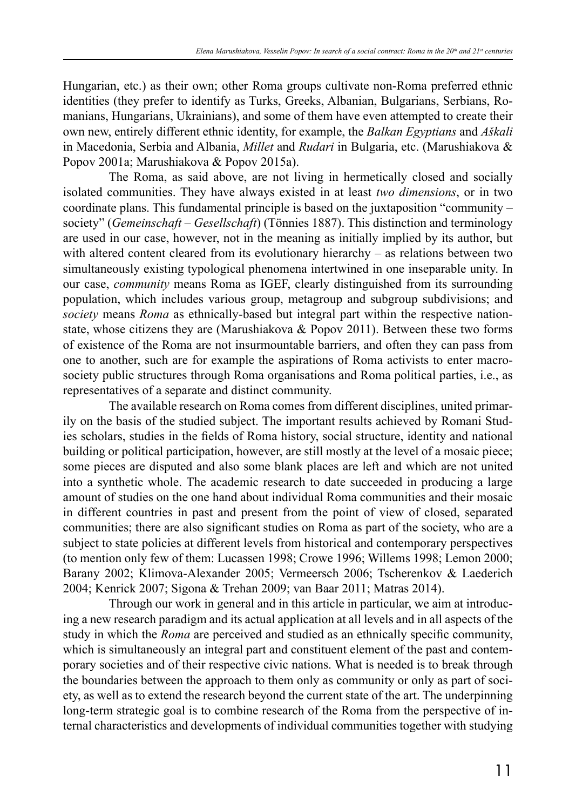Hungarian, etc.) as their own; other Roma groups cultivate non-Roma preferred ethnic identities (they prefer to identify as Turks, Greeks, Albanian, Bulgarians, Serbians, Romanians, Hungarians, Ukrainians), and some of them have even attempted to create their own new, entirely different ethnic identity, for example, the *Balkan Egyptians* and *Aškali* in Macedonia, Serbia and Albania, *Millet* and *Rudari* in Bulgaria, etc. (Marushiakova & Popov 2001a; Marushiakova & Popov 2015a).

The Roma, as said above, are not living in hermetically closed and socially isolated communities. They have always existed in at least *two dimensions*, or in two coordinate plans. This fundamental principle is based on the juxtaposition "community – society" (*Gemeinschaft* – *Gesellschaft*) (Tönnies 1887). This distinction and terminology are used in our case, however, not in the meaning as initially implied by its author, but with altered content cleared from its evolutionary hierarchy – as relations between two simultaneously existing typological phenomena intertwined in one inseparable unity. In our case, *community* means Roma as IGEF, clearly distinguished from its surrounding population, which includes various group, metagroup and subgroup subdivisions; and *society* means *Roma* as ethnically-based but integral part within the respective nationstate, whose citizens they are (Marushiakova & Popov 2011). Between these two forms of existence of the Roma are not insurmountable barriers, and often they can pass from one to another, such are for example the aspirations of Roma activists to enter macrosociety public structures through Roma organisations and Roma political parties, i.e., as representatives of a separate and distinct community.

The available research on Roma comes from different disciplines, united primarily on the basis of the studied subject. The important results achieved by Romani Studies scholars, studies in the fields of Roma history, social structure, identity and national building or political participation, however, are still mostly at the level of a mosaic piece; some pieces are disputed and also some blank places are left and which are not united into a synthetic whole. The academic research to date succeeded in producing a large amount of studies on the one hand about individual Roma communities and their mosaic in different countries in past and present from the point of view of closed, separated communities; there are also significant studies on Roma as part of the society, who are a subject to state policies at different levels from historical and contemporary perspectives (to mention only few of them: Lucassen 1998; Crowe 1996; Willems 1998; Lemon 2000; Barany 2002; Klimova-Alexander 2005; Vermeersch 2006; Tscherenkov & Laederich 2004; Kenrick 2007; Sigona & Trehan 2009; van Baar 2011; Matras 2014).

Through our work in general and in this article in particular, we aim at introducing a new research paradigm and its actual application at all levels and in all aspects of the study in which the *Roma* are perceived and studied as an ethnically specific community, which is simultaneously an integral part and constituent element of the past and contemporary societies and of their respective civic nations. What is needed is to break through the boundaries between the approach to them only as community or only as part of society, as well as to extend the research beyond the current state of the art. The underpinning long-term strategic goal is to combine research of the Roma from the perspective of internal characteristics and developments of individual communities together with studying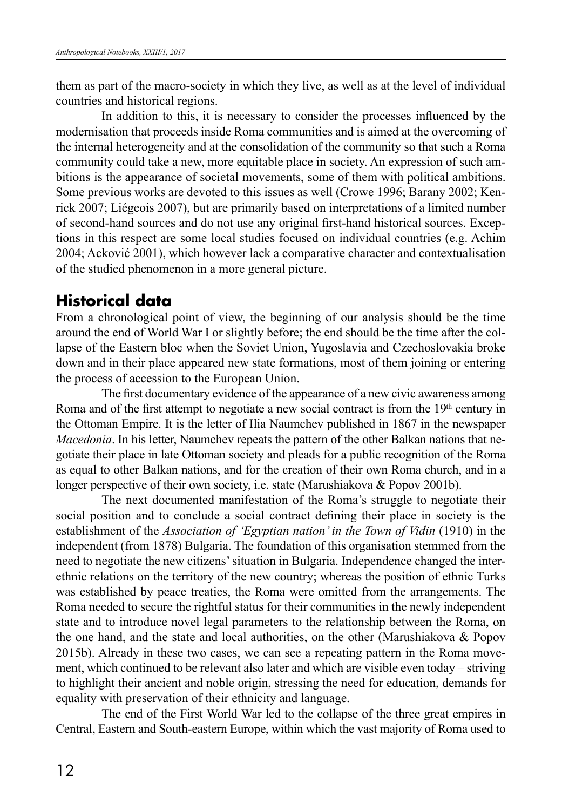them as part of the macro-society in which they live, as well as at the level of individual countries and historical regions.

In addition to this, it is necessary to consider the processes influenced by the modernisation that proceeds inside Roma communities and is aimed at the overcoming of the internal heterogeneity and at the consolidation of the community so that such a Roma community could take a new, more equitable place in society. An expression of such ambitions is the appearance of societal movements, some of them with political ambitions. Some previous works are devoted to this issues as well (Crowe 1996; Barany 2002; Kenrick 2007; Liégeois 2007), but are primarily based on interpretations of a limited number of second-hand sources and do not use any original first-hand historical sources. Exceptions in this respect are some local studies focused on individual countries (e.g. Achim 2004; Acković 2001), which however lack a comparative character and contextualisation of the studied phenomenon in a more general picture.

## **Historical data**

From a chronological point of view, the beginning of our analysis should be the time around the end of World War I or slightly before; the end should be the time after the collapse of the Eastern bloc when the Soviet Union, Yugoslavia and Czechoslovakia broke down and in their place appeared new state formations, most of them joining or entering the process of accession to the European Union.

The first documentary evidence of the appearance of a new civic awareness among Roma and of the first attempt to negotiate a new social contract is from the  $19<sup>th</sup>$  century in the Ottoman Empire. It is the letter of Ilia Naumchev published in 1867 in the newspaper *Macedonia*. In his letter, Naumchev repeats the pattern of the other Balkan nations that negotiate their place in late Ottoman society and pleads for a public recognition of the Roma as equal to other Balkan nations, and for the creation of their own Roma church, and in a longer perspective of their own society, i.e. state (Marushiakova & Popov 2001b).

The next documented manifestation of the Roma's struggle to negotiate their social position and to conclude a social contract defining their place in society is the establishment of the *Association of 'Egyptian nation' in the Town of Vidin* (1910) in the independent (from 1878) Bulgaria. The foundation of this organisation stemmed from the need to negotiate the new citizens' situation in Bulgaria. Independence changed the interethnic relations on the territory of the new country; whereas the position of ethnic Turks was established by peace treaties, the Roma were omitted from the arrangements. The Roma needed to secure the rightful status for their communities in the newly independent state and to introduce novel legal parameters to the relationship between the Roma, on the one hand, and the state and local authorities, on the other (Marushiakova & Popov 2015b). Already in these two cases, we can see a repeating pattern in the Roma movement, which continued to be relevant also later and which are visible even today – striving to highlight their ancient and noble origin, stressing the need for education, demands for equality with preservation of their ethnicity and language.

The end of the First World War led to the collapse of the three great empires in Central, Eastern and South-eastern Europe, within which the vast majority of Roma used to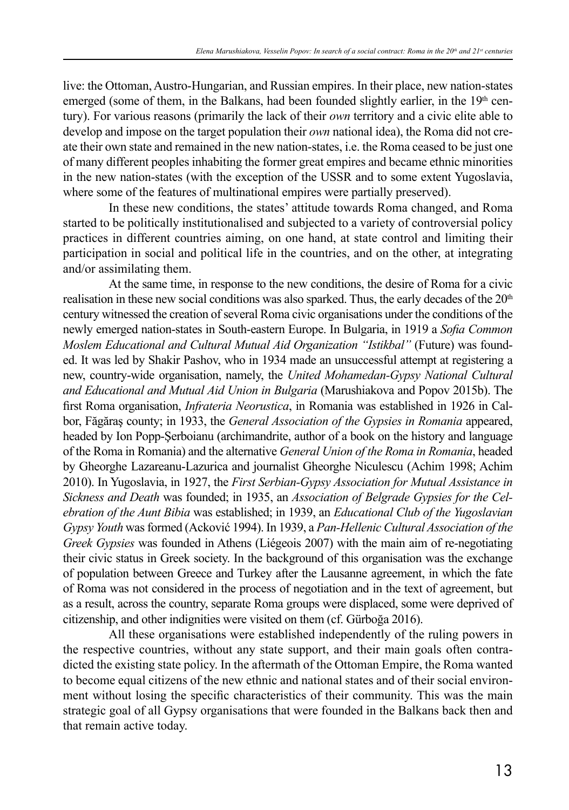live: the Ottoman, Austro-Hungarian, and Russian empires. In their place, new nation-states emerged (some of them, in the Balkans, had been founded slightly earlier, in the  $19<sup>th</sup>$  century). For various reasons (primarily the lack of their *own* territory and a civic elite able to develop and impose on the target population their *own* national idea), the Roma did not create their own state and remained in the new nation-states, i.e. the Roma ceased to be just one of many different peoples inhabiting the former great empires and became ethnic minorities in the new nation-states (with the exception of the USSR and to some extent Yugoslavia, where some of the features of multinational empires were partially preserved).

In these new conditions, the states' attitude towards Roma changed, and Roma started to be politically institutionalised and subjected to a variety of controversial policy practices in different countries aiming, on one hand, at state control and limiting their participation in social and political life in the countries, and on the other, at integrating and/or assimilating them.

At the same time, in response to the new conditions, the desire of Roma for a civic realisation in these new social conditions was also sparked. Thus, the early decades of the  $20<sup>th</sup>$ century witnessed the creation of several Roma civic organisations under the conditions of the newly emerged nation-states in South-eastern Europe. In Bulgaria, in 1919 a *Sofia Common Moslem Educational and Cultural Mutual Aid Organization "Istikbal"* (Future) was founded. It was led by Shakir Pashov, who in 1934 made an unsuccessful attempt at registering a new, country-wide organisation, namely, the *United Mohamedan-Gypsy National Cultural and Educational and Mutual Aid Union in Bulgaria* (Marushiakova and Popov 2015b). The first Roma organisation, *Infrateria Neorustica*, in Romania was established in 1926 in Calbor, Făgăraş county; in 1933, the *General Association of the Gypsies in Romania* appeared, headed by Ion Popp-Şerboianu (archimandrite, author of a book on the history and language of the Roma in Romania) and the alternative *General Union of the Roma in Romania*, headed by Gheorghe Lazareanu-Lazurica and journalist Gheorghe Niculescu (Achim 1998; Achim 2010). In Yugoslavia, in 1927, the *First Serbian-Gypsy Association for Mutual Assistance in Sickness and Death* was founded; in 1935, an *Association of Belgrade Gypsies for the Celebration of the Aunt Bibia* was established; in 1939, an *Educational Club of the Yugoslavian Gypsy Youth* was formed (Acković 1994). In 1939, a *Pan-Hellenic Cultural Association of the Greek Gypsies* was founded in Athens (Liégeois 2007) with the main aim of re-negotiating their civic status in Greek society. In the background of this organisation was the exchange of population between Greece and Turkey after the Lausanne agreement, in which the fate of Roma was not considered in the process of negotiation and in the text of agreement, but as a result, across the country, separate Roma groups were displaced, some were deprived of citizenship, and other indignities were visited on them (cf. Gürboğa 2016).

All these organisations were established independently of the ruling powers in the respective countries, without any state support, and their main goals often contradicted the existing state policy. In the aftermath of the Ottoman Empire, the Roma wanted to become equal citizens of the new ethnic and national states and of their social environment without losing the specific characteristics of their community. This was the main strategic goal of all Gypsy organisations that were founded in the Balkans back then and that remain active today.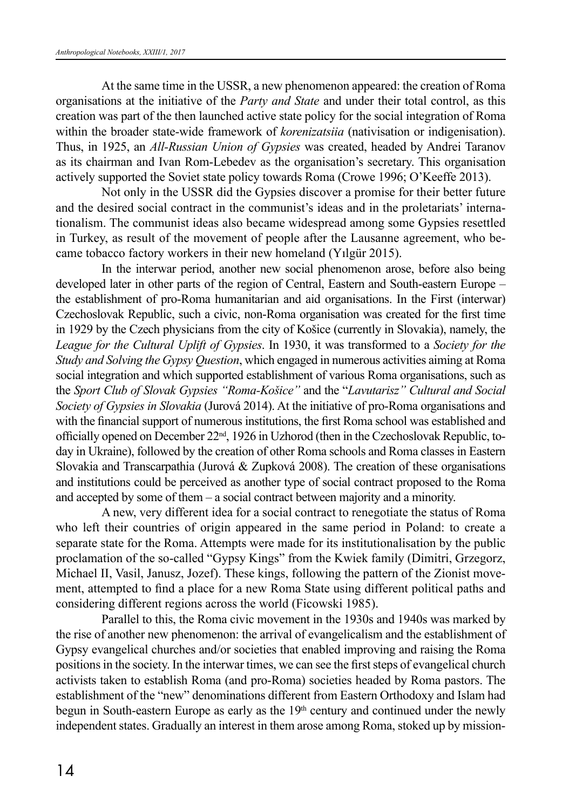At the same time in the USSR, a new phenomenon appeared: the creation of Roma organisations at the initiative of the *Party and State* and under their total control, as this creation was part of the then launched active state policy for the social integration of Roma within the broader state-wide framework of *korenizatsiia* (nativisation or indigenisation). Thus, in 1925, an *All-Russian Union of Gypsies* was created, headed by Andrei Taranov as its chairman and Ivan Rom-Lebedev as the organisation's secretary. This organisation actively supported the Soviet state policy towards Roma (Crowe 1996; O'Keeffe 2013).

Not only in the USSR did the Gypsies discover a promise for their better future and the desired social contract in the communist's ideas and in the proletariats' internationalism. The communist ideas also became widespread among some Gypsies resettled in Turkey, as result of the movement of people after the Lausanne agreement, who became tobacco factory workers in their new homeland (Yılgür 2015).

In the interwar period, another new social phenomenon arose, before also being developed later in other parts of the region of Central, Eastern and South-eastern Europe – the establishment of pro-Roma humanitarian and aid organisations. In the First (interwar) Czechoslovak Republic, such a civic, non-Roma organisation was created for the first time in 1929 by the Czech physicians from the city of Košice (currently in Slovakia), namely, the *League for the Cultural Uplift of Gypsies*. In 1930, it was transformed to a *Society for the Study and Solving the Gypsy Question*, which engaged in numerous activities aiming at Roma social integration and which supported establishment of various Roma organisations, such as the *Sport Club of Slovak Gypsies "Roma-Košice"* and the "*Lavutarisz" Cultural and Social Society of Gypsies in Slovakia* (Jurová 2014). At the initiative of pro-Roma organisations and with the financial support of numerous institutions, the first Roma school was established and officially opened on December 22nd, 1926 in Uzhorod (then in the Czechoslovak Republic, today in Ukraine), followed by the creation of other Roma schools and Roma classes in Eastern Slovakia and Transcarpathia (Jurová & Zupková 2008). The creation of these organisations and institutions could be perceived as another type of social contract proposed to the Roma and accepted by some of them – a social contract between majority and a minority.

A new, very different idea for a social contract to renegotiate the status of Roma who left their countries of origin appeared in the same period in Poland: to create a separate state for the Roma. Attempts were made for its institutionalisation by the public proclamation of the so-called "Gypsy Kings" from the Kwiek family (Dimitri, Grzegorz, Michael II, Vasil, Janusz, Jozef). These kings, following the pattern of the Zionist movement, attempted to find a place for a new Roma State using different political paths and considering different regions across the world (Ficowski 1985).

Parallel to this, the Roma civic movement in the 1930s and 1940s was marked by the rise of another new phenomenon: the arrival of evangelicalism and the establishment of Gypsy evangelical churches and/or societies that enabled improving and raising the Roma positions in the society. In the interwar times, we can see the first steps of evangelical church activists taken to establish Roma (and pro-Roma) societies headed by Roma pastors. The establishment of the "new" denominations different from Eastern Orthodoxy and Islam had begun in South-eastern Europe as early as the  $19<sup>th</sup>$  century and continued under the newly independent states. Gradually an interest in them arose among Roma, stoked up by mission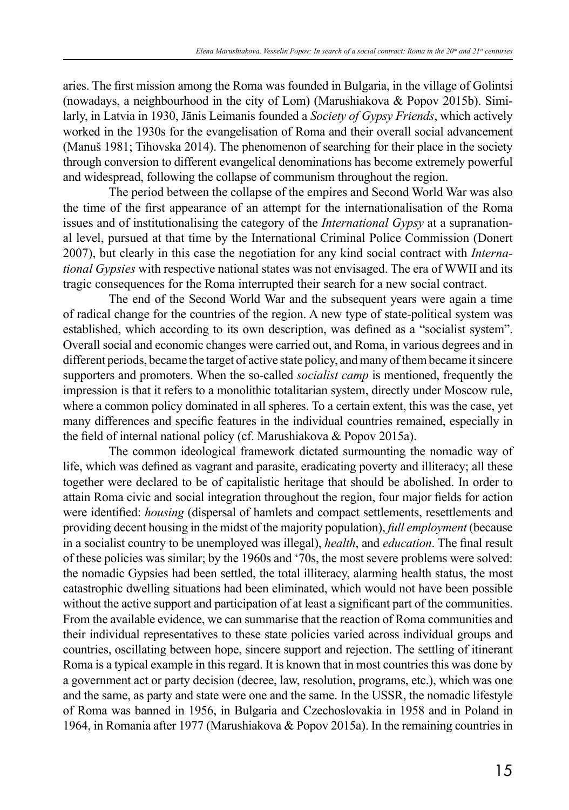aries. The first mission among the Roma was founded in Bulgaria, in the village of Golintsi (nowadays, a neighbourhood in the city of Lom) (Marushiakova & Popov 2015b). Similarly, in Latvia in 1930, Jānis Leimanis founded a *Society of Gypsy Friends*, which actively worked in the 1930s for the evangelisation of Roma and their overall social advancement (Мanuš 1981; Tihovska 2014). The phenomenon of searching for their place in the society through conversion to different evangelical denominations has become extremely powerful and widespread, following the collapse of communism throughout the region.

The period between the collapse of the empires and Second World War was also the time of the first appearance of an attempt for the internationalisation of the Roma issues and of institutionalising the category of the *International Gypsy* at a supranational level, pursued at that time by the International Criminal Police Commission (Donert 2007), but clearly in this case the negotiation for any kind social contract with *International Gypsies* with respective national states was not envisaged. The era of WWII and its tragic consequences for the Roma interrupted their search for a new social contract.

The end of the Second World War and the subsequent years were again a time of radical change for the countries of the region. A new type of state-political system was established, which according to its own description, was defined as a "socialist system". Overall social and economic changes were carried out, and Roma, in various degrees and in different periods, became the target of active state policy, and many of them became it sincere supporters and promoters. When the so-called *socialist camp* is mentioned, frequently the impression is that it refers to a monolithic totalitarian system, directly under Moscow rule, where a common policy dominated in all spheres. To a certain extent, this was the case, yet many differences and specific features in the individual countries remained, especially in the field of internal national policy (cf. Marushiakova & Popov 2015a).

The common ideological framework dictated surmounting the nomadic way of life, which was defined as vagrant and parasite, eradicating poverty and illiteracy; all these together were declared to be of capitalistic heritage that should be abolished. In order to attain Roma civic and social integration throughout the region, four major fields for action were identified: *housing* (dispersal of hamlets and compact settlements, resettlements and providing decent housing in the midst of the majority population), *full employment* (because in a socialist country to be unemployed was illegal), *health*, and *education*. The final result of these policies was similar; by the 1960s and '70s, the most severe problems were solved: the nomadic Gypsies had been settled, the total illiteracy, alarming health status, the most catastrophic dwelling situations had been eliminated, which would not have been possible without the active support and participation of at least a significant part of the communities. From the available evidence, we can summarise that the reaction of Roma communities and their individual representatives to these state policies varied across individual groups and countries, oscillating between hope, sincere support and rejection. The settling of itinerant Roma is a typical example in this regard. It is known that in most countries this was done by a government act or party decision (decree, law, resolution, programs, etc.), which was one and the same, as party and state were one and the same. In the USSR, the nomadic lifestyle of Roma was banned in 1956, in Bulgaria and Czechoslovakia in 1958 and in Poland in 1964, in Romania after 1977 (Marushiakova & Popov 2015a). In the remaining countries in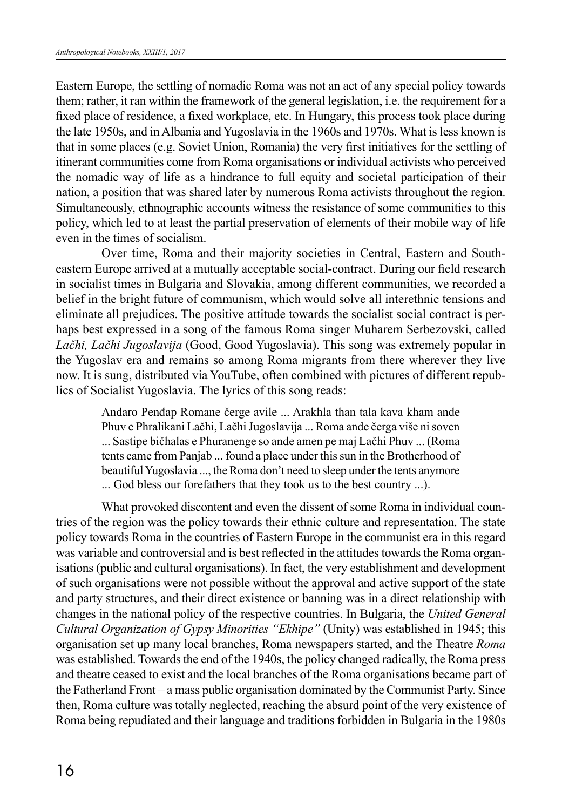Eastern Europe, the settling of nomadic Roma was not an act of any special policy towards them; rather, it ran within the framework of the general legislation, i.e. the requirement for a fixed place of residence, a fixed workplace, etc. In Hungary, this process took place during the late 1950s, and in Albania and Yugoslavia in the 1960s and 1970s. What is less known is that in some places (e.g. Soviet Union, Romania) the very first initiatives for the settling of itinerant communities come from Roma organisations or individual activists who perceived the nomadic way of life as a hindrance to full equity and societal participation of their nation, a position that was shared later by numerous Roma activists throughout the region. Simultaneously, ethnographic accounts witness the resistance of some communities to this policy, which led to at least the partial preservation of elements of their mobile way of life even in the times of socialism.

Over time, Roma and their majority societies in Central, Eastern and Southeastern Europe arrived at a mutually acceptable social-contract. During our field research in socialist times in Bulgaria and Slovakia, among different communities, we recorded a belief in the bright future of communism, which would solve all interethnic tensions and eliminate all prejudices. The positive attitude towards the socialist social contract is perhaps best expressed in a song of the famous Roma singer Muharem Serbezovski, called *Lačhi, Lačhi Jugoslavija* (Good, Good Yugoslavia). This song was extremely popular in the Yugoslav era and remains so among Roma migrants from there wherever they live now. It is sung, distributed via YouTube, often combined with pictures of different republics of Socialist Yugoslavia. The lyrics of this song reads:

Andaro Penđap Romane čerge avile ... Arakhla than tala kava kham ande Phuv e Phralikani Lačhi, Lačhi Jugoslavija ... Roma ande čerga više ni soven ... Sastipe bičhalas e Phuranenge so ande amen pe maj Lačhi Phuv ... (Roma tents came from Panjab ... found a place under this sun in the Brotherhood of beautiful Yugoslavia ..., the Roma don't need to sleep under the tents anymore ... God bless our forefathers that they took us to the best country ...).

What provoked discontent and even the dissent of some Roma in individual countries of the region was the policy towards their ethnic culture and representation. The state policy towards Roma in the countries of Eastern Europe in the communist era in this regard was variable and controversial and is best reflected in the attitudes towards the Roma organisations (public and cultural organisations). In fact, the very establishment and development of such organisations were not possible without the approval and active support of the state and party structures, and their direct existence or banning was in a direct relationship with changes in the national policy of the respective countries. In Bulgaria, the *United General Cultural Organization of Gypsy Minorities "Ekhipe"* (Unity) was established in 1945; this organisation set up many local branches, Roma newspapers started, and the Theatre *Roma*  was established. Towards the end of the 1940s, the policy changed radically, the Roma press and theatre ceased to exist and the local branches of the Roma organisations became part of the Fatherland Front – a mass public organisation dominated by the Communist Party. Since then, Roma culture was totally neglected, reaching the absurd point of the very existence of Roma being repudiated and their language and traditions forbidden in Bulgaria in the 1980s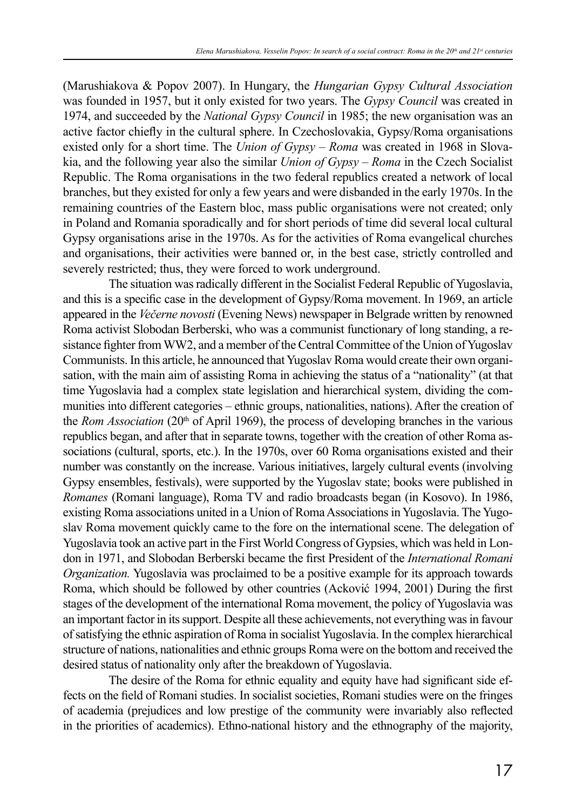(Marushiakova & Popov 2007). In Hungary, the *Hungarian Gypsy Cultural Association* was founded in 1957, but it only existed for two years. The *Gypsy Council* was created in 1974, and succeeded by the *National Gypsy Council* in 1985; the new organisation was an active factor chiefly in the cultural sphere. In Czechoslovakia, Gypsy/Roma organisations existed only for a short time. The *Union of Gypsy – Roma* was created in 1968 in Slovakia, and the following year also the similar *Union of Gypsy – Roma* in the Czech Socialist Republic. The Roma organisations in the two federal republics created a network of local branches, but they existed for only a few years and were disbanded in the early 1970s. In the remaining countries of the Eastern bloc, mass public organisations were not created; only in Poland and Romania sporadically and for short periods of time did several local cultural Gypsy organisations arise in the 1970s. As for the activities of Roma evangelical churches and organisations, their activities were banned or, in the best case, strictly controlled and severely restricted; thus, they were forced to work underground.

The situation was radically different in the Socialist Federal Republic of Yugoslavia, and this is a specific case in the development of Gypsy/Roma movement. In 1969, an article appeared in the *Večerne novosti* (Evening News) newspaper in Belgrade written by renowned Roma activist Slobodan Berberski, who was a communist functionary of long standing, a resistance fighter from WW2, and a member of the Central Committee of the Union of Yugoslav Communists. In this article, he announced that Yugoslav Roma would create their own organisation, with the main aim of assisting Roma in achieving the status of a "nationality" (at that time Yugoslavia had a complex state legislation and hierarchical system, dividing the communities into different categories – ethnic groups, nationalities, nations). After the creation of the *Rom Association* (20<sup>th</sup> of April 1969), the process of developing branches in the various republics began, and after that in separate towns, together with the creation of other Roma associations (cultural, sports, etc.). In the 1970s, over 60 Roma organisations existed and their number was constantly on the increase. Various initiatives, largely cultural events (involving Gypsy ensembles, festivals), were supported by the Yugoslav state; books were published in *Romanes* (Romani language), Roma TV and radio broadcasts began (in Kosovo). In 1986, existing Roma associations united in a Union of Roma Associations in Yugoslavia. The Yugoslav Roma movement quickly came to the fore on the international scene. The delegation of Yugoslavia took an active part in the First World Congress of Gypsies, which was held in London in 1971, and Slobodan Berberski became the first President of the *International Romani Organization.* Yugoslavia was proclaimed to be a positive example for its approach towards Roma, which should be followed by other countries (Acković 1994, 2001) During the first stages of the development of the international Roma movement, the policy of Yugoslavia was an important factor in its support. Despite all these achievements, not everything was in favour of satisfying the ethnic aspiration of Roma in socialist Yugoslavia. In the complex hierarchical structure of nations, nationalities and ethnic groups Roma were on the bottom and received the desired status of nationality only after the breakdown of Yugoslavia.

The desire of the Roma for ethnic equality and equity have had significant side effects on the field of Romani studies. In socialist societies, Romani studies were on the fringes of academia (prejudices and low prestige of the community were invariably also reflected in the priorities of academics). Еthno-national history and the ethnography of the majority,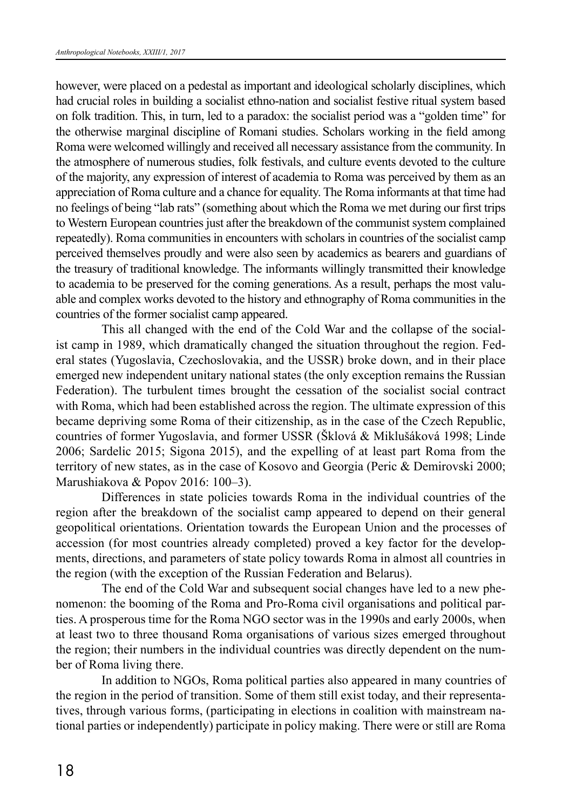however, were placed on a pedestal as important and ideological scholarly disciplines, which had crucial roles in building a socialist ethno-nation and socialist festive ritual system based on folk tradition. This, in turn, led to a paradox: the socialist period was a "golden time" for the otherwise marginal discipline of Romani studies. Scholars working in the field among Roma were welcomed willingly and received all necessary assistance from the community. In the atmosphere of numerous studies, folk festivals, and culture events devoted to the culture of the majority, any expression of interest of academia to Roma was perceived by them as an appreciation of Roma culture and a chance for equality. The Roma informants at that time had no feelings of being "lab rats" (something about which the Roma we met during our first trips to Western European countries just after the breakdown of the communist system complained repeatedly). Roma communities in encounters with scholars in countries of the socialist camp perceived themselves proudly and were also seen by academics as bearers and guardians of the treasury of traditional knowledge. The informants willingly transmitted their knowledge to academia to be preserved for the coming generations. As a result, perhaps the most valuable and complex works devoted to the history and ethnography of Roma communities in the countries of the former socialist camp appeared.

This all changed with the end of the Cold War and the collapse of the socialist camp in 1989, which dramatically changed the situation throughout the region. Federal states (Yugoslavia, Czechoslovakia, and the USSR) broke down, and in their place emerged new independent unitary national states (the only exception remains the Russian Federation). The turbulent times brought the cessation of the socialist social contract with Roma, which had been established across the region. The ultimate expression of this became depriving some Roma of their citizenship, as in the case of the Czech Republic, countries of former Yugoslavia, and former USSR (Šklová & Miklušáková 1998; Linde 2006; Sardelic 2015; Sigona 2015), and the expelling of at least part Roma from the territory of new states, as in the case of Kosovo and Georgia (Peric & Demirovski 2000; Marushiakova & Popov 2016: 100–3).

Differences in state policies towards Roma in the individual countries of the region after the breakdown of the socialist camp appeared to depend on their general geopolitical orientations. Orientation towards the European Union and the processes of accession (for most countries already completed) proved a key factor for the developments, directions, and parameters of state policy towards Roma in almost all countries in the region (with the exception of the Russian Federation and Belarus).

The end of the Cold War and subsequent social changes have led to a new phenomenon: the booming of the Roma and Pro-Roma civil organisations and political parties. A prosperous time for the Roma NGO sector was in the 1990s and early 2000s, when at least two to three thousand Roma organisations of various sizes emerged throughout the region; their numbers in the individual countries was directly dependent on the number of Roma living there.

In addition to NGOs, Roma political parties also appeared in many countries of the region in the period of transition. Some of them still exist today, and their representatives, through various forms, (participating in elections in coalition with mainstream national parties or independently) participate in policy making. There were or still are Roma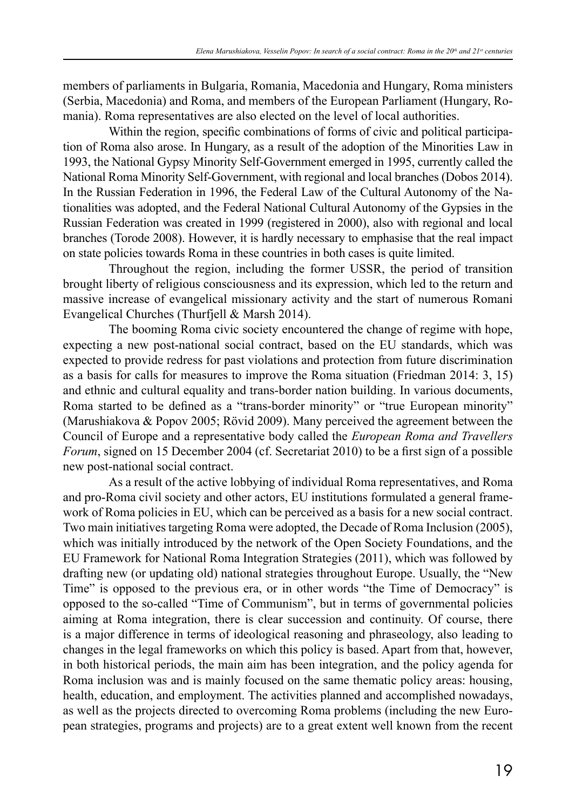members of parliaments in Bulgaria, Romania, Macedonia and Hungary, Roma ministers (Serbia, Macedonia) and Roma, and members of the European Parliament (Hungary, Romania). Roma representatives are also elected on the level of local authorities.

Within the region, specific combinations of forms of civic and political participation of Roma also arose. In Hungary, as a result of the adoption of the Minorities Law in 1993, the National Gypsy Minority Self-Government emerged in 1995, currently called the National Roma Minority Self-Government, with regional and local branches (Dobos 2014). In the Russian Federation in 1996, the Federal Law of the Cultural Autonomy of the Nationalities was adopted, and the Federal National Cultural Autonomy of the Gypsies in the Russian Federation was created in 1999 (registered in 2000), also with regional and local branches (Torode 2008). However, it is hardly necessary to emphasise that the real impact on state policies towards Roma in these countries in both cases is quite limited.

Throughout the region, including the former USSR, the period of transition brought liberty of religious consciousness and its expression, which led to the return and massive increase of evangelical missionary activity and the start of numerous Romani Evangelical Churches (Thurfjell & Marsh 2014).

The booming Roma civic society encountered the change of regime with hope, expecting a new post-national social contract, based on the EU standards, which was expected to provide redress for past violations and protection from future discrimination as a basis for calls for measures to improve the Roma situation (Friedman 2014: 3, 15) and ethnic and cultural equality and trans-border nation building. In various documents, Roma started to be defined as a "trans-border minority" or "true European minority" (Marushiakova & Popov 2005; Rövid 2009). Many perceived the agreement between the Council of Europe and a representative body called the *European Roma and Travellers Forum*, signed on 15 December 2004 (cf. Secretariat 2010) to be a first sign of a possible new post-national social contract.

As a result of the active lobbying of individual Roma representatives, and Roma and pro-Roma civil society and other actors, EU institutions formulated a general framework of Roma policies in EU, which can be perceived as a basis for a new social contract. Two main initiatives targeting Roma were adopted, the Decade of Roma Inclusion (2005), which was initially introduced by the network of the Open Society Foundations, and the EU Framework for National Roma Integration Strategies (2011), which was followed by drafting new (or updating old) national strategies throughout Europe. Usually, the "New Time" is opposed to the previous era, or in other words "the Time of Democracy" is opposed to the so-called "Time of Communism", but in terms of governmental policies aiming at Roma integration, there is clear succession and continuity. Of course, there is a major difference in terms of ideological reasoning and phraseology, also leading to changes in the legal frameworks on which this policy is based. Apart from that, however, in both historical periods, the main aim has been integration, and the policy agenda for Roma inclusion was and is mainly focused on the same thematic policy areas: housing, health, education, and employment. The activities planned and accomplished nowadays, as well as the projects directed to overcoming Roma problems (including the new European strategies, programs and projects) are to a great extent well known from the recent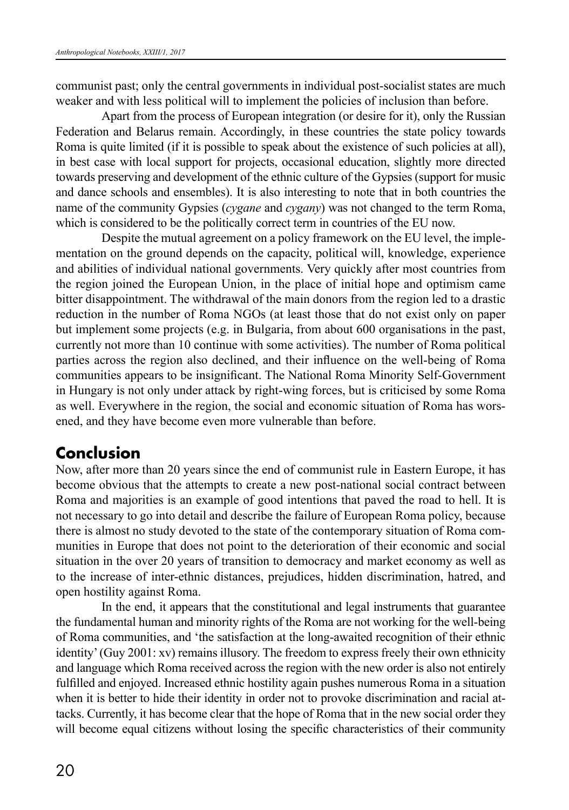communist past; only the central governments in individual post-socialist states are much weaker and with less political will to implement the policies of inclusion than before.

Apart from the process of European integration (or desire for it), only the Russian Federation and Belarus remain. Accordingly, in these countries the state policy towards Roma is quite limited (if it is possible to speak about the existence of such policies at all), in best case with local support for projects, occasional education, slightly more directed towards preserving and development of the ethnic culture of the Gypsies (support for music and dance schools and ensembles). It is also interesting to note that in both countries the name of the community Gypsies (*cygane* and *cygany*) was not changed to the term Roma, which is considered to be the politically correct term in countries of the EU now.

Despite the mutual agreement on a policy framework on the EU level, the implementation on the ground depends on the capacity, political will, knowledge, experience and abilities of individual national governments. Very quickly after most countries from the region joined the European Union, in the place of initial hope and optimism came bitter disappointment. The withdrawal of the main donors from the region led to a drastic reduction in the number of Roma NGOs (at least those that do not exist only on paper but implement some projects (e.g. in Bulgaria, from about 600 organisations in the past, currently not more than 10 continue with some activities). The number of Roma political parties across the region also declined, and their influence on the well-being of Roma communities appears to be insignificant. The National Roma Minority Self-Government in Hungary is not only under attack by right-wing forces, but is criticised by some Roma as well. Everywhere in the region, the social and economic situation of Roma has worsened, and they have become even more vulnerable than before.

## **Conclusion**

Now, after more than 20 years since the end of communist rule in Eastern Europe, it has become obvious that the attempts to create a new post-national social contract between Roma and majorities is an example of good intentions that paved the road to hell. It is not necessary to go into detail and describe the failure of European Roma policy, because there is almost no study devoted to the state of the contemporary situation of Roma communities in Europe that does not point to the deterioration of their economic and social situation in the over 20 years of transition to democracy and market economy as well as to the increase of inter-ethnic distances, prejudices, hidden discrimination, hatred, and open hostility against Roma.

In the end, it appears that the constitutional and legal instruments that guarantee the fundamental human and minority rights of the Roma are not working for the well-being of Roma communities, and 'the satisfaction at the long-awaited recognition of their ethnic identity' (Guy 2001: xv) remains illusory. The freedom to express freely their own ethnicity and language which Roma received across the region with the new order is also not entirely fulfilled and enjoyed. Increased ethnic hostility again pushes numerous Roma in a situation when it is better to hide their identity in order not to provoke discrimination and racial attacks. Currently, it has become clear that the hope of Roma that in the new social order they will become equal citizens without losing the specific characteristics of their community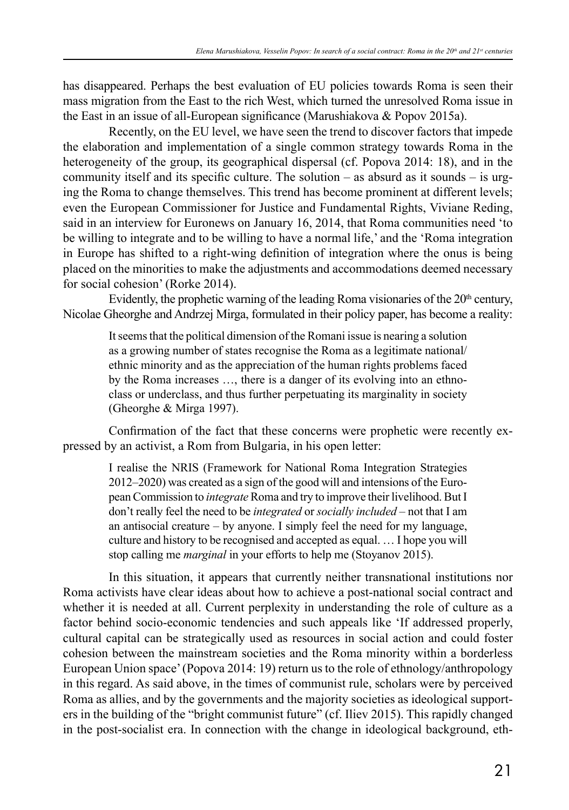has disappeared. Perhaps the best evaluation of EU policies towards Roma is seen their mass migration from the East to the rich West, which turned the unresolved Roma issue in the East in an issue of all-European significance (Marushiakova & Popov 2015a).

Recently, on the EU level, we have seen the trend to discover factors that impede the elaboration and implementation of a single common strategy towards Roma in the heterogeneity of the group, its geographical dispersal (cf. Popova 2014: 18), and in the community itself and its specific culture. The solution – as absurd as it sounds – is urging the Roma to change themselves. This trend has become prominent at different levels; even the European Commissioner for Justice and Fundamental Rights, Viviane Reding, said in an interview for Euronews on January 16, 2014, that Roma communities need 'to be willing to integrate and to be willing to have a normal life,' and the 'Roma integration in Europe has shifted to a right-wing definition of integration where the onus is being placed on the minorities to make the adjustments and accommodations deemed necessary for social cohesion' (Rorke 2014).

Evidently, the prophetic warning of the leading Roma visionaries of the  $20<sup>th</sup>$  century, Nicolae Gheorghe and Andrzej Mirga, formulated in their policy paper, has become a reality:

> It seems that the political dimension of the Romani issue is nearing a solution as a growing number of states recognise the Roma as a legitimate national/ ethnic minority and as the appreciation of the human rights problems faced by the Roma increases …, there is a danger of its evolving into an ethnoclass or underclass, and thus further perpetuating its marginality in society (Gheorghe & Mirga 1997).

Confirmation of the fact that these concerns were prophetic were recently expressed by an activist, a Rom from Bulgaria, in his open letter:

> I realise the NRIS (Framework for National Roma Integration Strategies 2012–2020) was created as a sign of the good will and intensions of the European Commission to *integrate* Roma and try to improve their livelihood. But I don't really feel the need to be *integrated* or *socially included* – not that I am an antisocial creature – by anyone. I simply feel the need for my language, culture and history to be recognised and accepted as equal. … I hope you will stop calling me *marginal* in your efforts to help me (Stoyanov 2015).

In this situation, it appears that currently neither transnational institutions nor Roma activists have clear ideas about how to achieve a post-national social contract and whether it is needed at all. Current perplexity in understanding the role of culture as a factor behind socio-economic tendencies and such appeals like 'If addressed properly, cultural capital can be strategically used as resources in social action and could foster cohesion between the mainstream societies and the Roma minority within a borderless European Union space' (Popova 2014: 19) return us to the role of ethnology/anthropology in this regard. As said above, in the times of communist rule, scholars were by perceived Roma as allies, and by the governments and the majority societies as ideological supporters in the building of the "bright communist future" (cf. Iliev 2015). This rapidly changed in the post-socialist era. In connection with the change in ideological background, eth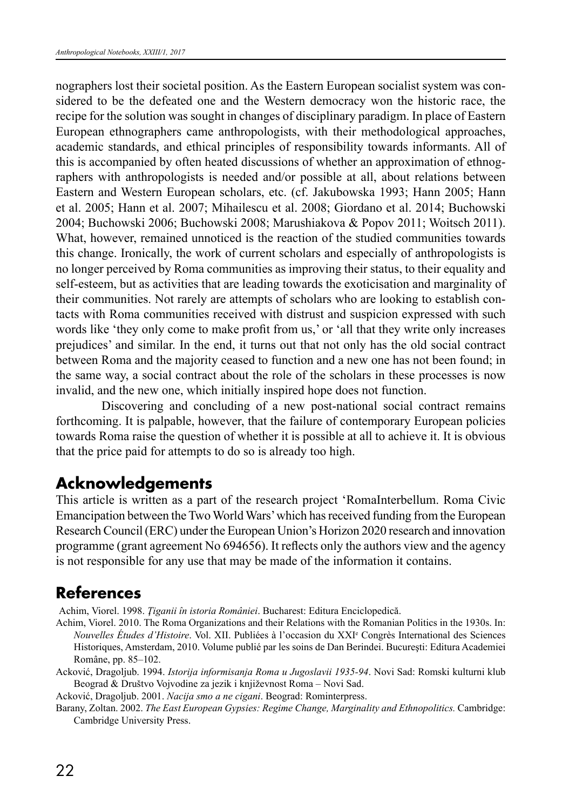nographers lost their societal position. As the Eastern European socialist system was considered to be the defeated one and the Western democracy won the historic race, the recipe for the solution was sought in changes of disciplinary paradigm. In place of Eastern European ethnographers came anthropologists, with their methodological approaches, academic standards, and ethical principles of responsibility towards informants. All of this is accompanied by often heated discussions of whether an approximation of ethnographers with anthropologists is needed and/or possible at all, about relations between Eastern and Western European scholars, etc. (cf. Jakubowska 1993; Hann 2005; Hann et al. 2005; Hann et al. 2007; Mihailescu et al. 2008; Giordano et al. 2014; Buchowski 2004; Buchowski 2006; Buchowski 2008; Marushiakova & Popov 2011; Woitsch 2011). What, however, remained unnoticed is the reaction of the studied communities towards this change. Ironically, the work of current scholars and especially of anthropologists is no longer perceived by Roma communities as improving their status, to their equality and self-esteem, but as activities that are leading towards the exoticisation and marginality of their communities. Not rarely are attempts of scholars who are looking to establish contacts with Roma communities received with distrust and suspicion expressed with such words like 'they only come to make profit from us,' or 'all that they write only increases prejudices' and similar. In the end, it turns out that not only has the old social contract between Roma and the majority ceased to function and a new one has not been found; in the same way, a social contract about the role of the scholars in these processes is now invalid, and the new one, which initially inspired hope does not function.

Discovering and concluding of a new post-national social contract remains forthcoming. It is palpable, however, that the failure of contemporary European policies towards Roma raise the question of whether it is possible at all to achieve it. It is obvious that the price paid for attempts to do so is already too high.

# **Acknowledgements**

This article is written as a part of the research project 'RomaInterbellum. Roma Civic Emancipation between the Two World Wars' which has received funding from the European Research Council (ERC) under the European Union's Horizon 2020 research and innovation programme (grant agreement No 694656). It reflects only the authors view and the agency is not responsible for any use that may be made of the information it contains.

# **References**

Achim, Viorel. 1998. *Ţiganii în istoria României*. Bucharest: Editura Enciclopedică.

- Achim, Viorel. 2010. The Roma Organizations and their Relations with the Romanian Politics in the 1930s. In: *Nouvelles Études d'Histoire*. Vol. XII. Publiées à l'occasion du XXIe Congrès International des Sciences Historiques, Amsterdam, 2010. Volume publié par les soins de Dan Berindei. Bucureşti: Editura Academiei Române, pp. 85–102.
- Acković, Dragoljub. 1994. *Istorija informisanja Roma u Jugoslavii 1935-94*. Novi Sad: Romski kulturni klub Beograd & Društvo Vojvodine za jezik i književnost Roma – Novi Sad.

Acković, Dragoljub. 2001. *Nacija smo a ne cigani*. Beograd: Rominterpress.

Barany, Zoltan. 2002. *The East European Gypsies: Regime Change, Marginality and Ethnopolitics.* Cambridge: Cambridge University Press.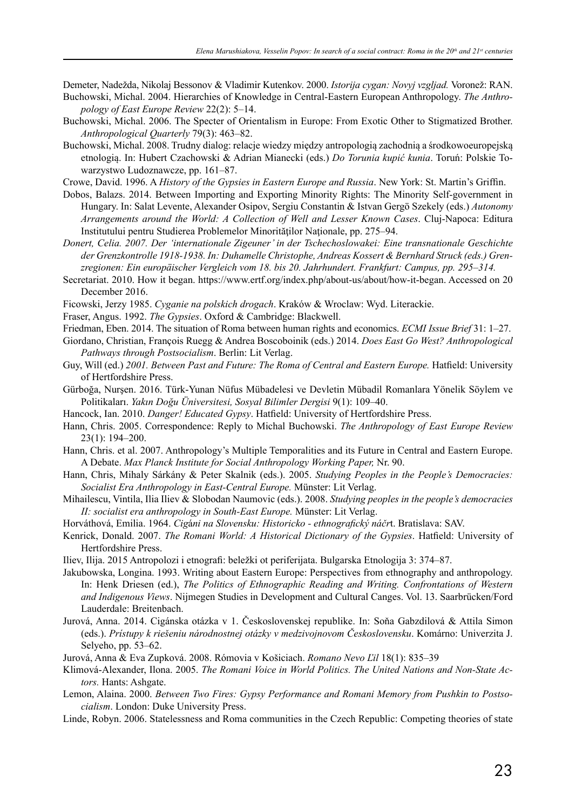Demeter, Nadežda, Nikolaj Bessonov & Vladimir Kutenkov. 2000. *Istorija cygan: Novyj vzgljad.* Voronež: RAN.

- Buchowski, Michal. 2004. Hierarchies of Knowledge in Central-Eastern European Anthropology. *The Anthropology of East Europe Review* 22(2): 5–14.
- Buchowski, Michal. 2006. The Specter of Orientalism in Europe: From Exotic Other to Stigmatized Brother. *Anthropological Quarterly* 79(3): 463–82.
- Buchowski, Michal. 2008. Trudny dialog: relacje wiedzy między antropologią zachodnią a środkowoeuropejską etnologią. In: Hubert Czachowski & Adrian Mianecki (eds.) *Do Torunia kupić kunia*. Toruń: Polskie Towarzystwo Ludoznawcze, pp. 161–87.
- Crowe, David. 1996. A *History of the Gypsies in Eastern Europe and Russia*. New York: St. Martin's Griffin.
- Dobos, Balazs. 2014. Between Importing and Exporting Minority Rights: The Minority Self-government in Hungary. In: Salat Levente, Alexander Osipov, Sergiu Constantin & Istvan Gergö Szekely (eds.) *Autonomy Arrangements around the World: A Collection of Well and Lesser Known Cases*. Cluj-Napoca: Editura Institutului pentru Studierea Problemelor Minorităţilor Naţionale, pp. 275–94.
- *Donert, Celia. 2007. Der 'internationale Zigeuner' in der Tschechoslowakei: Eine transnationale Geschichte der Grenzkontrolle 1918-1938. In: Duhamelle Christophe, Andreas Kossert & Bernhard Struck (eds.) Grenzregionen: Ein europäischer Vergleich vom 18. bis 20. Jahrhundert. Frankfurt: Campus, pp. 295*–*314.*
- Secretariat. 2010. How it began. https://www.ertf.org/index.php/about-us/about/how-it-began. Accessed on 20 December 2016.
- Ficowski, Jerzy 1985. *Cyganie na polskich drogach*. Kraków & Wroclaw: Wyd. Literackie.
- Fraser, Angus. 1992. *The Gypsies*. Oxford & Cambridge: Blackwell.
- Friedman, Eben. 2014. The situation of Roma between human rights and economics. *ECMI Issue Brief* 31: 1–27.
- Giordano, Christian, François Ruegg & Andrea Boscoboinik (eds.) 2014. *Does East Go West? Anthropological Pathways through Postsocialism*. Berlin: Lit Verlag.
- Guy, Will (ed.) *2001. Between Past and Future: The Roma of Central and Eastern Europe.* Hatfield: University of Hertfordshire Press.
- Gürboğa, Nurşen. 2016. Türk-Yunan Nüfus Mübadelesi ve Devletin Mübadil Romanlara Yönelik Söylem ve Politikaları. *Yakın Doğu Üniversitesi, Sosyal Bilimler Dergisi* 9(1): 109–40.
- Hancock, Ian. 2010. *Danger! Educated Gypsy*. Hatfield: University of Hertfordshire Press.
- Hann, Chris. 2005. Correspondence: Reply to Michal Buchowski. *The Anthropology of East Europe Review* 23(1): 194–200.
- Hann, Chris. et al. 2007. Anthropology's Multiple Temporalities and its Future in Central and Eastern Europe. A Debate. *Max Planck Institute for Social Anthropology Working Paper,* Nr. 90.
- Hann, Chris, Mihaly Sárkány & Peter Skalnik (eds.). 2005. *Studying Peoples in the People's Democracies: Socialist Era Anthropology in East-Central Europe.* Münster: Lit Verlag.
- Mihailescu, Vintila, Ilia Iliev & Slobodan Naumovic (eds.). 2008. *Studying peoples in the people's democracies II: socialist era anthropology in South-East Europe.* Münster: Lit Verlag.
- Horváthová, Emilia. 1964. *Cig*á*ni na Slovensku: Historicko ethnografický náčr*t. Bratislava: SAV.
- Kenrick, Donald. 2007. *The Romani World: A Historical Dictionary of the Gypsies*. Hatfield: University of Hertfordshire Press.
- Iliev, Ilija. 2015 Antropolozi i etnografi: beležki ot periferijata. Bulgarska Etnologija 3: 374–87.
- Jakubowska, Longina. 1993. Writing about Eastern Europe: Perspectives from ethnography and anthropology. In: Henk Driesen (ed.), *The Politics of Ethnographic Reading and Writing. Confrontations of Western and Indigenous Views*. Nijmegen Studies in Development and Cultural Canges. Vol. 13. Saarbrücken/Ford Lauderdale: Breitenbach.
- Jurová, Anna. 2014. Cigánska otázka v 1. Československej republike. In: Soňa Gabzdilová & Attila Simon (eds.). *Prístupy k riešeniu národnostnej otázky v medzivojnovom Československu*. Komárno: Univerzita J. Selyeho, pp. 53–62.
- Jurová, Anna & Eva Zupková. 2008. Rómovia v Košiciach. *Romano Nevo Ľil* 18(1): 835–39
- Klimová-Alexander, Ilona. 2005. *The Romani Voice in World Politics. The United Nations and Non-State Actors.* Hants: Ashgate.
- Lemon, Alaina. 2000. *Between Two Fires: Gypsy Performance and Romani Memory from Pushkin to Postsocialism*. London: Duke University Press.
- Linde, Robyn. 2006. Statelessness and Roma communities in the Czech Republic: Competing theories of state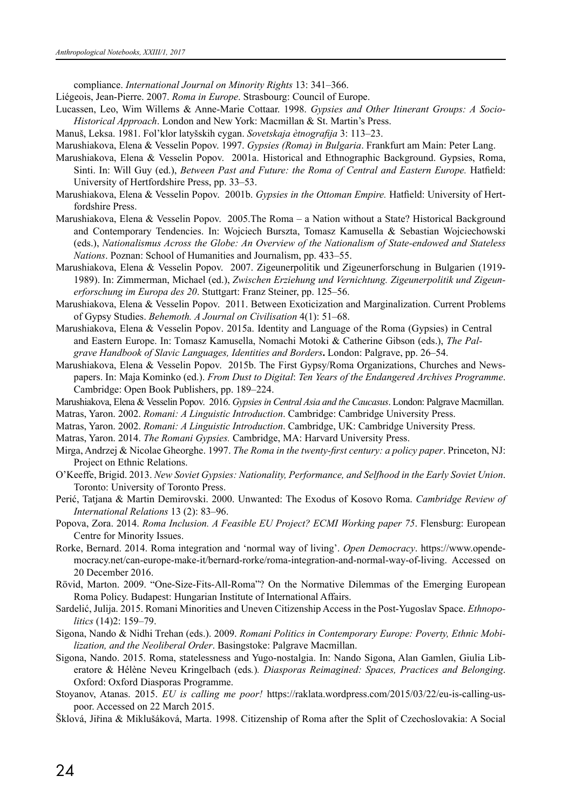compliance. *International Journal on Minority Rights* 13: 341–366.

- Liégeois, Jean-Pierre. 2007. *Roma in Europe*. Strasbourg: Council of Europe.
- Lucassen, Leo, Wim Willems & Anne-Marie Cottaar. 1998. *Gypsies and Other Itinerant Groups: A Socio-Historical Approach*. London and New York: Macmillan & St. Martin's Press.
- Маnuš, Leksa. 1981. Fol'klor latyšskih cygan. *Sovetskaja ètnografija* 3: 113–23.
- Marushiakova, Elena & Vesselin Popov. 1997. *Gypsies (Roma) in Bulgaria*. Frankfurt am Main: Peter Lang.
- Marushiakova, Elena & Vesselin Popov. 2001a. Historical and Ethnographic Background. Gypsies, Roma, Sinti. In: Will Guy (ed.), *Between Past and Future: the Roma of Central and Eastern Europe.* Hatfield: University of Hertfordshire Press, pp. 33–53.
- Marushiakova, Elena & Vesselin Popov. 2001b. *Gypsies in the Ottoman Empire.* Hatfield: University of Hertfordshire Press.
- Marushiakova, Elena & Vesselin Popov. 2005.The Roma a Nation without a State? Historical Background and Contemporary Tendencies. In: Wojciech Burszta, Tomasz Kamusella & Sebastian Wojciechowski (eds.), *Nationalismus Across the Globe: An Overview of the Nationalism of State-endowed and Stateless Nations*. Poznan: School of Humanities and Journalism, pp. 433–55.
- Marushiakova, Elena & Vesselin Popov. 2007. Zigeunerpolitik und Zigeunerforschung in Bulgarien (1919- 1989). In: Zimmerman, Michael (ed.), *Zwischen Erziehung und Vernichtung. Zigeunerpolitik und Zigeunerforschung im Europa des 20*. Stuttgart: Franz Steiner, pp. 125–56.
- Marushiakova, Elena & Vesselin Popov. 2011. Between Exoticization and Marginalization. Current Problems of Gypsy Studies. *Behemoth. A Journal on Civilisation* 4(1): 51–68.
- Marushiakova, Elena & Vesselin Popov. 2015a. Identity and Language of the Roma (Gypsies) in Central and Eastern Europe. In: Tomasz Kamusella, Nomachi Motoki & Catherine Gibson (eds.), *The Palgrave Handbook of Slavic Languages, Identities and Borders***.** London: Palgrave, pp. 26–54.
- Marushiakova, Elena & Vesselin Popov. 2015b. The First Gypsy/Roma Organizations, Churches and Newspapers. In: Maja Kominko (ed.). *From Dust to Digital*: *Ten Years of the Endangered Archives Programme*. Cambridge: Open Book Publishers, pp. 189–224.
- Marushiakova, Elena & Vesselin Popov. 2016. *Gypsies in Central Asia and the Caucasus*. London: Palgrave Macmillan.
- Matras, Yaron. 2002. *Romani: A Linguistic Introduction*. Cambridge: Cambridge University Press.
- Matras, Yaron. 2002. *Romani: A Linguistic Introduction*. Cambridge, UK: Cambridge University Press.
- Matras, Yaron. 2014. *The Romani Gypsies.* Cambridge, MA: Harvard University Press.
- Mirga, Andrzej & Nicolae Gheorghe. 1997. *The Roma in the twenty-first century: a policy paper*. Princeton, NJ: Project on Ethnic Relations.
- O'Keeffe, Brigid. 2013. *New Soviet Gypsies: Nationality, Performance, and Selfhood in the Early Soviet Union*. Toronto: University of Toronto Press.
- Perić, Tatjana & Martin Demirovski. 2000. Unwanted: The Exodus of Kosovo Roma. *Cambridge Review of International Relations* 13 (2): 83–96.
- Popova, Zora. 2014. *Roma Inclusion. A Feasible EU Project? ECMI Working paper 75*. Flensburg: European Centre for Minority Issues.
- Rorke, Bernard. 2014. Roma integration and 'normal way of living'. *Open Democracy*. https://www.opendemocracy.net/can-europe-make-it/bernard-rorke/roma-integration-and-normal-way-of-living. Accessed on 20 December 2016.
- Rövid, Marton. 2009. "One-Size-Fits-All-Roma"? On the Normative Dilemmas of the Emerging European Roma Policy. Budapest: Hungarian Institute of International Affairs.
- Sardelić, Julija. 2015. Romani Minorities and Uneven Citizenship Access in the Post-Yugoslav Space. *Ethnopolitics* (14)2: 159–79.
- Sigona, Nando & Nidhi Trehan (eds.). 2009. *Romani Politics in Contemporary Europe: Poverty, Ethnic Mobilization, and the Neoliberal Order*. Basingstoke: Palgrave Macmillan.
- Sigona, Nando. 2015. Roma, statelessness and Yugo-nostalgia. In: Nando Sigona, Alan Gamlen, Giulia Liberatore & Hélène Neveu Kringelbach (eds*.*)*. Diasporas Reimagined: Spaces, Practices and Belonging*. Oxford: Oxford Diasporas Programme.
- Stoyanov, Atanas. 2015. *EU is calling me poor!* https://raklata.wordpress.com/2015/03/22/eu-is-calling-uspoor. Accessed on 22 March 2015.
- Šklová, Jiřina & Miklušáková, Marta. 1998. Citizenship of Roma after the Split of Czechoslovakia: A Social